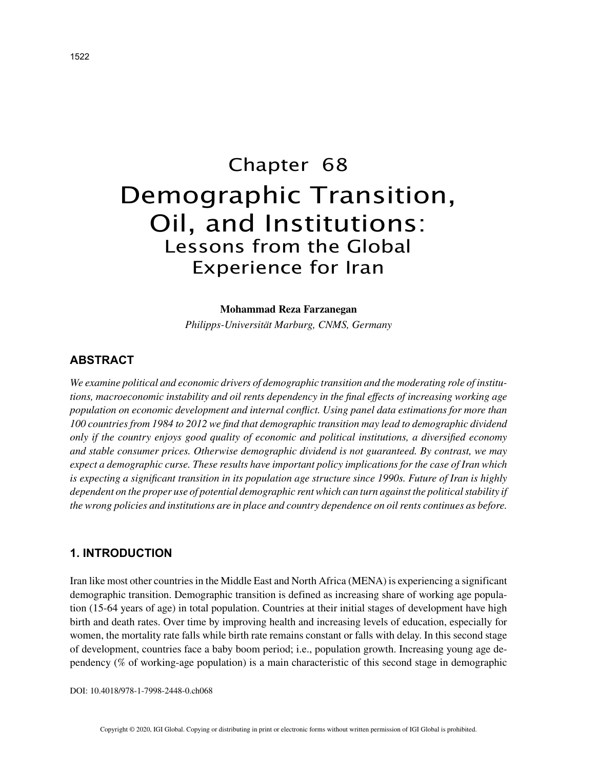# Chapter 68 Demographic Transition, Oil, and Institutions: Lessons from the Global Experience for Iran

#### **Mohammad Reza Farzanegan**

*Philipps-Universität Marburg, CNMS, Germany*

# **ABSTRACT**

*We examine political and economic drivers of demographic transition and the moderating role of institutions, macroeconomic instability and oil rents dependency in the final effects of increasing working age population on economic development and internal conflict. Using panel data estimations for more than 100 countries from 1984 to 2012 we find that demographic transition may lead to demographic dividend only if the country enjoys good quality of economic and political institutions, a diversified economy and stable consumer prices. Otherwise demographic dividend is not guaranteed. By contrast, we may expect a demographic curse. These results have important policy implications for the case of Iran which is expecting a significant transition in its population age structure since 1990s. Future of Iran is highly dependent on the proper use of potential demographic rent which can turn against the political stability if the wrong policies and institutions are in place and country dependence on oil rents continues as before.*

## **1. INTRODUCTION**

Iran like most other countries in the Middle East and North Africa (MENA) is experiencing a significant demographic transition. Demographic transition is defined as increasing share of working age population (15-64 years of age) in total population. Countries at their initial stages of development have high birth and death rates. Over time by improving health and increasing levels of education, especially for women, the mortality rate falls while birth rate remains constant or falls with delay. In this second stage of development, countries face a baby boom period; i.e., population growth. Increasing young age dependency (% of working-age population) is a main characteristic of this second stage in demographic

DOI: 10.4018/978-1-7998-2448-0.ch068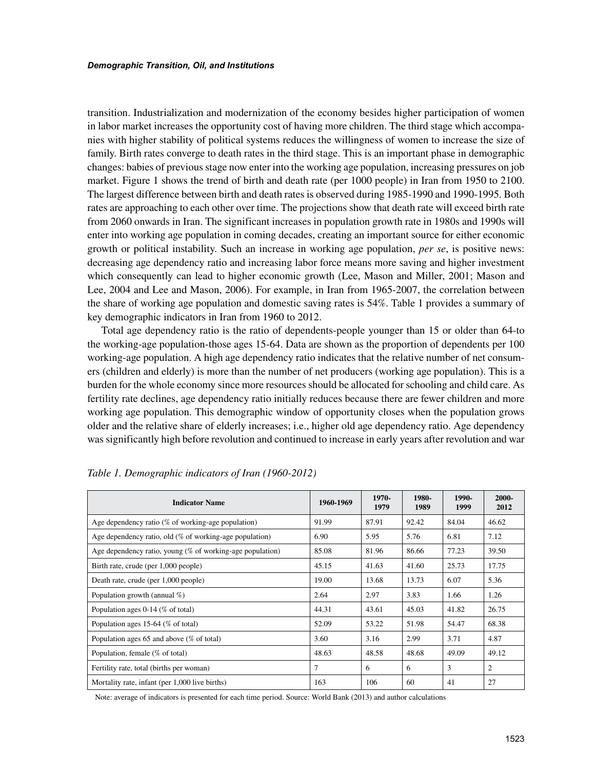transition. Industrialization and modernization of the economy besides higher participation of women in labor market increases the opportunity cost of having more children. The third stage which accompanies with higher stability of political systems reduces the willingness of women to increase the size of family. Birth rates converge to death rates in the third stage. This is an important phase in demographic changes: babies of previous stage now enter into the working age population, increasing pressures on job market. Figure 1 shows the trend of birth and death rate (per 1000 people) in Iran from 1950 to 2100. The largest difference between birth and death rates is observed during 1985-1990 and 1990-1995. Both rates are approaching to each other over time. The projections show that death rate will exceed birth rate from 2060 onwards in Iran. The significant increases in population growth rate in 1980s and 1990s will enter into working age population in coming decades, creating an important source for either economic growth or political instability. Such an increase in working age population, *per se*, is positive news: decreasing age dependency ratio and increasing labor force means more saving and higher investment which consequently can lead to higher economic growth (Lee, Mason and Miller, 2001; Mason and Lee, 2004 and Lee and Mason, 2006). For example, in Iran from 1965-2007, the correlation between the share of working age population and domestic saving rates is 54%. Table 1 provides a summary of key demographic indicators in Iran from 1960 to 2012.

Total age dependency ratio is the ratio of dependents-people younger than 15 or older than 64-to the working-age population-those ages 15-64. Data are shown as the proportion of dependents per 100 working-age population. A high age dependency ratio indicates that the relative number of net consumers (children and elderly) is more than the number of net producers (working age population). This is a burden for the whole economy since more resources should be allocated for schooling and child care. As fertility rate declines, age dependency ratio initially reduces because there are fewer children and more working age population. This demographic window of opportunity closes when the population grows older and the relative share of elderly increases; i.e., higher old age dependency ratio. Age dependency was significantly high before revolution and continued to increase in early years after revolution and war

| <b>Indicator Name</b>                                        | 1960-1969 | 1970-<br>1979 | 1980-<br>1989 | 1990-<br>1999 | 2000-<br>2012 |
|--------------------------------------------------------------|-----------|---------------|---------------|---------------|---------------|
| Age dependency ratio ( $%$ of working-age population)        | 91.99     | 87.91         | 92.42         | 84.04         | 46.62         |
| Age dependency ratio, old (% of working-age population)      | 6.90      | 5.95          | 5.76          | 6.81          | 7.12          |
| Age dependency ratio, young $(\%$ of working-age population) | 85.08     | 81.96         | 86.66         | 77.23         | 39.50         |
| Birth rate, crude (per 1,000 people)                         | 45.15     | 41.63         | 41.60         | 25.73         | 17.75         |
| Death rate, crude (per 1,000 people)                         | 19.00     | 13.68         | 13.73         | 6.07          | 5.36          |
| Population growth (annual %)                                 | 2.64      | 2.97          | 3.83          | 1.66          | 1.26          |
| Population ages 0-14 (% of total)                            | 44.31     | 43.61         | 45.03         | 41.82         | 26.75         |
| Population ages 15-64 (% of total)                           | 52.09     | 53.22         | 51.98         | 54.47         | 68.38         |
| Population ages 65 and above $(\%$ of total)                 | 3.60      | 3.16          | 2.99          | 3.71          | 4.87          |
| Population, female (% of total)                              | 48.63     | 48.58         | 48.68         | 49.09         | 49.12         |
| Fertility rate, total (births per woman)                     | 7         | 6             | 6             | 3             | 2             |
| Mortality rate, infant (per 1,000 live births)               | 163       | 106           | 60            | 41            | 27            |

*Table 1. Demographic indicators of Iran (1960-2012)*

Note: average of indicators is presented for each time period. Source: World Bank (2013) and author calculations